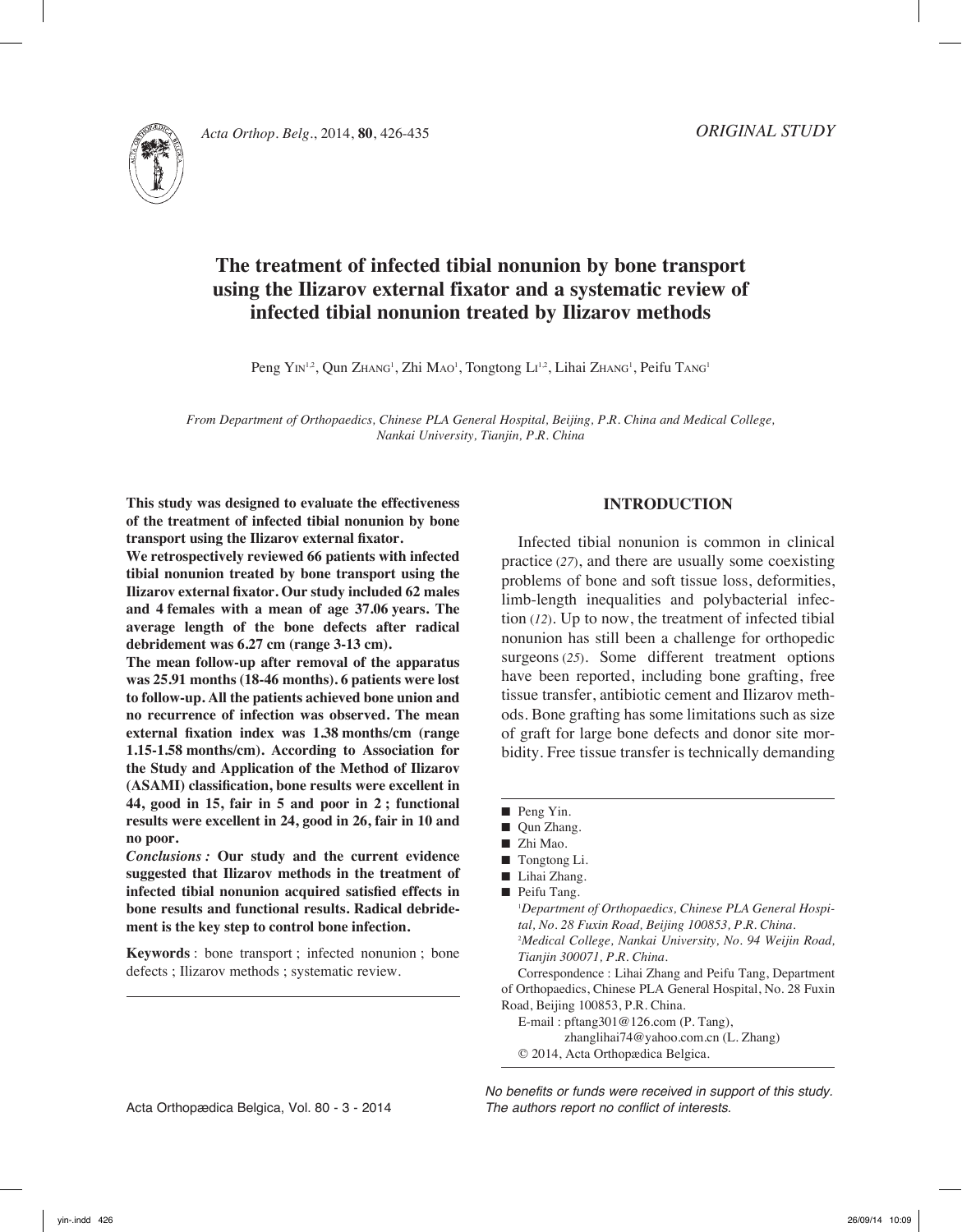



# **The treatment of infected tibial nonunion by bone transport using the Ilizarov external fixator and a systematic review of infected tibial nonunion treated by Ilizarov methods**

Peng Yin<sup>1,2</sup>, Qun Zhang<sup>1</sup>, Zhi Mao<sup>1</sup>, Tongtong Li<sup>1,2</sup>, Lihai Zhang<sup>1</sup>, Peifu Tang<sup>1</sup>

*From Department of Orthopaedics, Chinese PLA General Hospital, Beijing, P.R. China and Medical College, Nankai University, Tianjin, P.R. China*

**This study was designed to evaluate the effectiveness of the treatment of infected tibial nonunion by bone transport using the Ilizarov external fixator.**

**We retrospectively reviewed 66 patients with infected tibial nonunion treated by bone transport using the Ilizarov external fixator. Our study included 62 males and 4 females with a mean of age 37.06 years. The average length of the bone defects after radical debridement was 6.27 cm (range 3-13 cm).**

**The mean follow-up after removal of the apparatus was 25.91 months (18-46 months). 6 patients were lost to follow-up. All the patients achieved bone union and no recurrence of infection was observed. The mean external fixation index was 1.38 months/cm (range 1.15-1.58 months/cm). According to Association for the Study and Application of the Method of Ilizarov (ASAMI) classification, bone results were excellent in 44, good in 15, fair in 5 and poor in 2 ; functional results were excellent in 24, good in 26, fair in 10 and no poor.**

*Conclusions :* **Our study and the current evidence suggested that Ilizarov methods in the treatment of infected tibial nonunion acquired satisfied effects in bone results and functional results. Radical debridement is the key step to control bone infection.** 

**Keywords** : bone transport ; infected nonunion ; bone defects ; Ilizarov methods ; systematic review.

#### **Introduction**

Infected tibial nonunion is common in clinical practice (*27*), and there are usually some coexisting problems of bone and soft tissue loss, deformities, limb-length inequalities and polybacterial infection (*12*). Up to now, the treatment of infected tibial nonunion has still been a challenge for orthopedic surgeons (*25*). Some different treatment options have been reported, including bone grafting, free tissue transfer, antibiotic cement and Ilizarov methods. Bone grafting has some limitations such as size of graft for large bone defects and donor site morbidity. Free tissue transfer is technically demanding

- Peng Yin.
- Qun Zhang.
- Zhi Mao.
- Tongtong Li.
- Lihai Zhang.
- Peifu Tang.

1 *Department of Orthopaedics, Chinese PLA General Hospital, No. 28 Fuxin Road, Beijing 100853, P.R. China.* 2 *Medical College, Nankai University, No. 94 Weijin Road, Tianjin 300071, P.R. China.* Correspondence : Lihai Zhang and Peifu Tang, Department of Orthopaedics, Chinese PLA General Hospital, No. 28 Fuxin

Road, Beijing 100853, P.R. China.

E-mail : pftang301@126.com (P. Tang), zhanglihai74@yahoo.com.cn (L. Zhang) © 2014, Acta Orthopædica Belgica.

*No benefits or funds were received in support of this study. The authors report no conflict of interests.*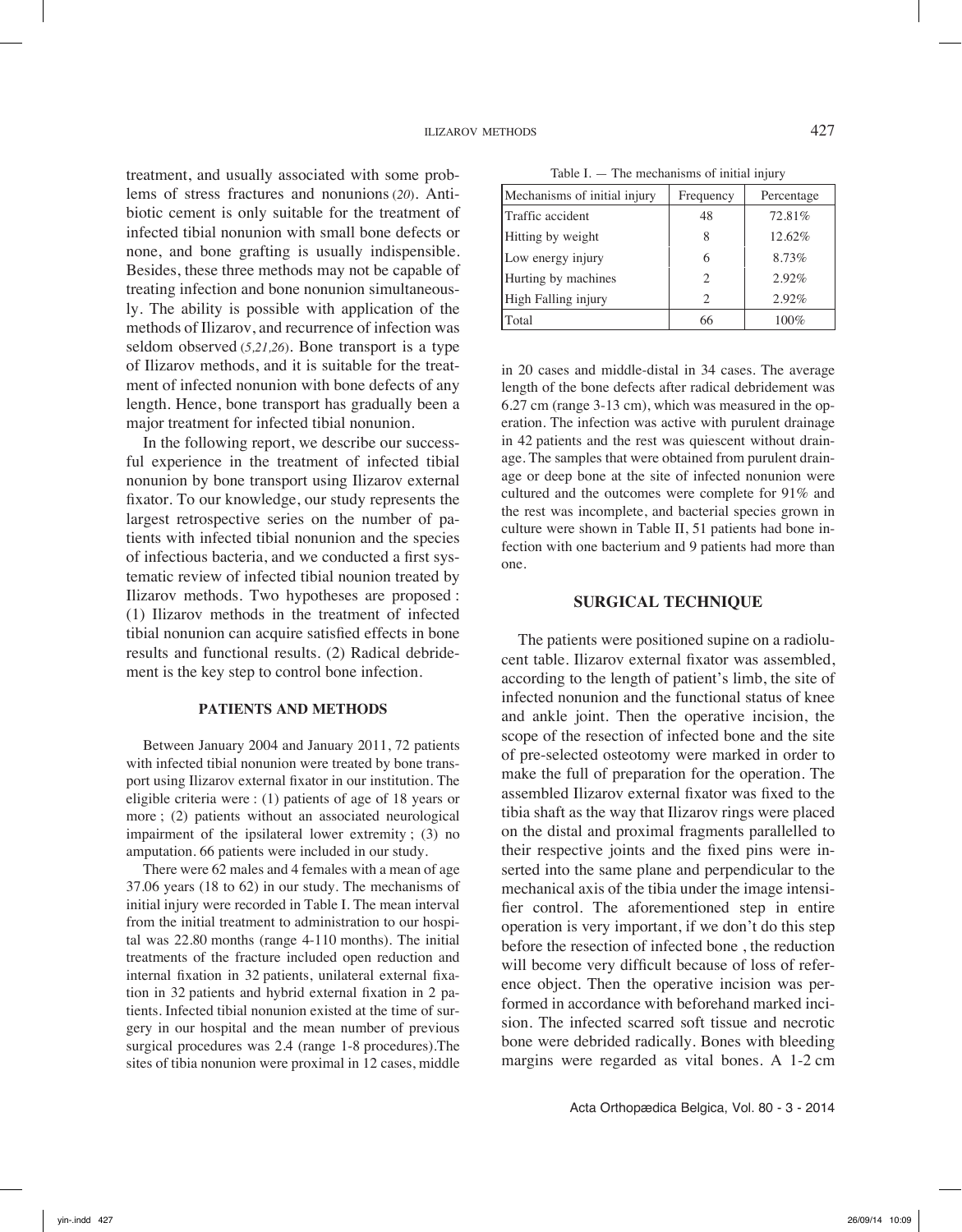treatment, and usually associated with some problems of stress fractures and nonunions (*20*). Antibiotic cement is only suitable for the treatment of infected tibial nonunion with small bone defects or none, and bone grafting is usually indispensible. Besides, these three methods may not be capable of treating infection and bone nonunion simultaneously. The ability is possible with application of the methods of Ilizarov, and recurrence of infection was seldom observed (*5,21,26*). Bone transport is a type of Ilizarov methods, and it is suitable for the treatment of infected nonunion with bone defects of any length. Hence, bone transport has gradually been a major treatment for infected tibial nonunion.

In the following report, we describe our successful experience in the treatment of infected tibial nonunion by bone transport using Ilizarov external fixator. To our knowledge, our study represents the largest retrospective series on the number of patients with infected tibial nonunion and the species of infectious bacteria, and we conducted a first systematic review of infected tibial nounion treated by Ilizarov methods. Two hypotheses are proposed : (1) Ilizarov methods in the treatment of infected tibial nonunion can acquire satisfied effects in bone results and functional results. (2) Radical debridement is the key step to control bone infection.

#### **Patients and methods**

Between January 2004 and January 2011, 72 patients with infected tibial nonunion were treated by bone transport using Ilizarov external fixator in our institution. The eligible criteria were : (1) patients of age of 18 years or more ; (2) patients without an associated neurological impairment of the ipsilateral lower extremity ; (3) no amputation. 66 patients were included in our study.

There were 62 males and 4 females with a mean of age 37.06 years (18 to 62) in our study. The mechanisms of initial injury were recorded in Table I. The mean interval from the initial treatment to administration to our hospital was 22.80 months (range 4-110 months). The initial treatments of the fracture included open reduction and internal fixation in 32 patients, unilateral external fixation in 32 patients and hybrid external fixation in 2 patients. Infected tibial nonunion existed at the time of surgery in our hospital and the mean number of previous surgical procedures was 2.4 (range 1-8 procedures).The sites of tibia nonunion were proximal in 12 cases, middle

Table I.  $-$  The mechanisms of initial injury

| Mechanisms of initial injury | Frequency | Percentage |
|------------------------------|-----------|------------|
| Traffic accident             | 48        | 72.81%     |
| Hitting by weight            | 8         | 12.62%     |
| Low energy injury            | 6         | 8.73%      |
| Hurting by machines          | 2         | 2.92%      |
| High Falling injury          | 2         | 2.92%      |
| Total                        | 66        | 100%       |

in 20 cases and middle-distal in 34 cases. The average length of the bone defects after radical debridement was 6.27 cm (range 3-13 cm), which was measured in the operation. The infection was active with purulent drainage in 42 patients and the rest was quiescent without drainage. The samples that were obtained from purulent drainage or deep bone at the site of infected nonunion were cultured and the outcomes were complete for 91% and the rest was incomplete, and bacterial species grown in culture were shown in Table II, 51 patients had bone infection with one bacterium and 9 patients had more than one.

#### **Surgical technique**

The patients were positioned supine on a radiolucent table. Ilizarov external fixator was assembled, according to the length of patient's limb, the site of infected nonunion and the functional status of knee and ankle joint. Then the operative incision, the scope of the resection of infected bone and the site of pre-selected osteotomy were marked in order to make the full of preparation for the operation. The assembled Ilizarov external fixator was fixed to the tibia shaft as the way that Ilizarov rings were placed on the distal and proximal fragments parallelled to their respective joints and the fixed pins were inserted into the same plane and perpendicular to the mechanical axis of the tibia under the image intensifier control. The aforementioned step in entire operation is very important, if we don't do this step before the resection of infected bone , the reduction will become very difficult because of loss of reference object. Then the operative incision was performed in accordance with beforehand marked incision. The infected scarred soft tissue and necrotic bone were debrided radically. Bones with bleeding margins were regarded as vital bones. A 1-2 cm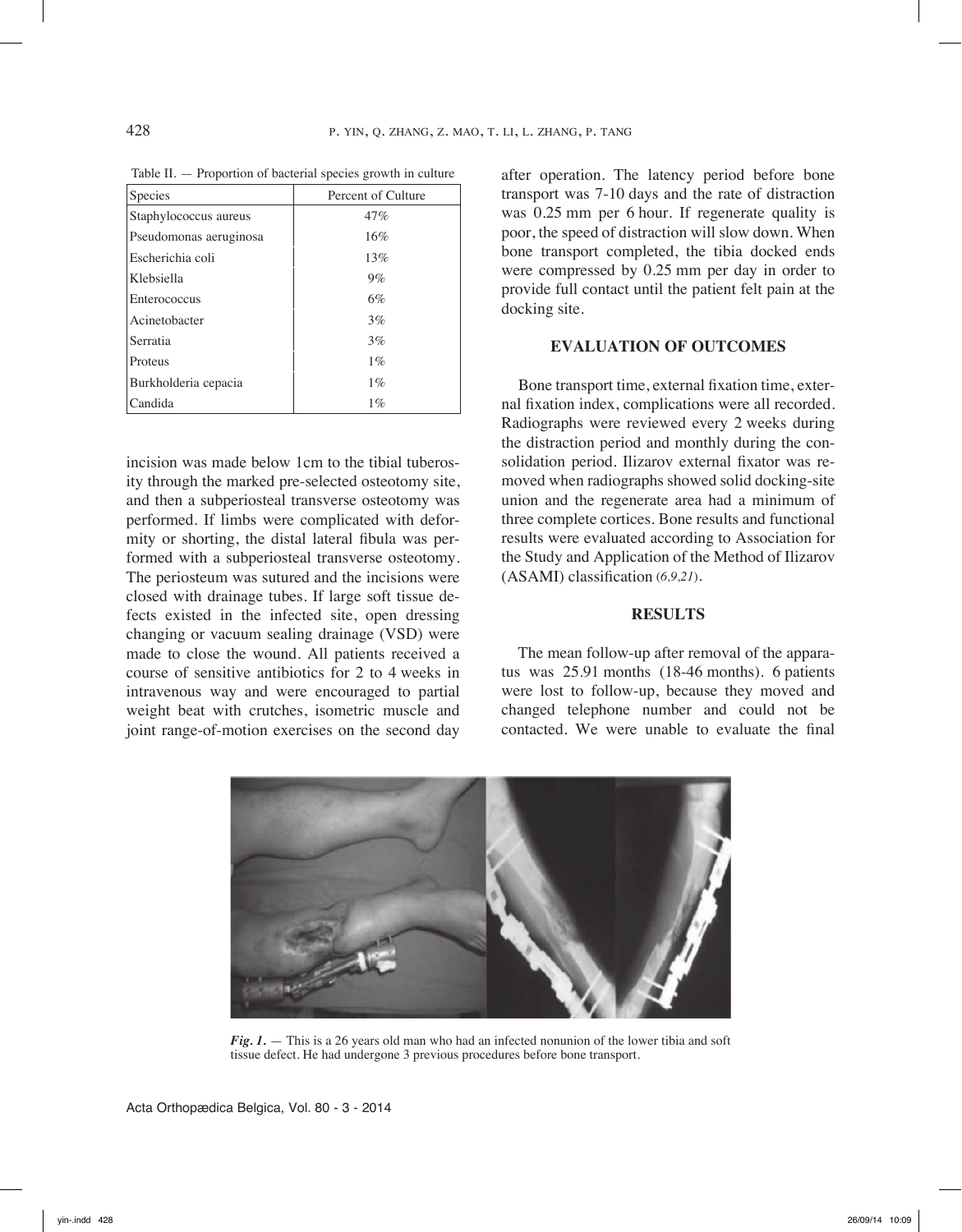| Species                | Percent of Culture |
|------------------------|--------------------|
| Staphylococcus aureus  | 47%                |
| Pseudomonas aeruginosa | 16%                |
| Escherichia coli       | 13%                |
| Klebsiella             | $9\%$              |
| Enterococcus           | 6%                 |
| Acinetobacter          | 3%                 |
| Serratia               | 3%                 |
| Proteus                | $1\%$              |
| Burkholderia cepacia   | $1\%$              |
| Candida                | $1\%$              |

Table II. — Proportion of bacterial species growth in culture

incision was made below 1cm to the tibial tuberosity through the marked pre-selected osteotomy site, and then a subperiosteal transverse osteotomy was performed. If limbs were complicated with deformity or shorting, the distal lateral fibula was performed with a subperiosteal transverse osteotomy. The periosteum was sutured and the incisions were closed with drainage tubes. If large soft tissue defects existed in the infected site, open dressing changing or vacuum sealing drainage (VSD) were made to close the wound. All patients received a course of sensitive antibiotics for 2 to 4 weeks in intravenous way and were encouraged to partial weight beat with crutches, isometric muscle and joint range-of-motion exercises on the second day after operation. The latency period before bone transport was 7-10 days and the rate of distraction was 0.25 mm per 6 hour. If regenerate quality is poor, the speed of distraction will slow down. When bone transport completed, the tibia docked ends were compressed by 0.25 mm per day in order to provide full contact until the patient felt pain at the docking site.

## **Evaluation of outcomes**

Bone transport time, external fixation time, external fixation index, complications were all recorded. Radiographs were reviewed every 2 weeks during the distraction period and monthly during the consolidation period. Ilizarov external fixator was removed when radiographs showed solid docking-site union and the regenerate area had a minimum of three complete cortices. Bone results and functional results were evaluated according to Association for the Study and Application of the Method of Ilizarov (ASAMI) classification (*6,9,21*).

#### **Results**

The mean follow-up after removal of the apparatus was 25.91 months (18-46 months). 6 patients were lost to follow-up, because they moved and changed telephone number and could not be contacted. We were unable to evaluate the final



*Fig. 1.* — This is a 26 years old man who had an infected nonunion of the lower tibia and soft tissue defect. He had undergone 3 previous procedures before bone transport.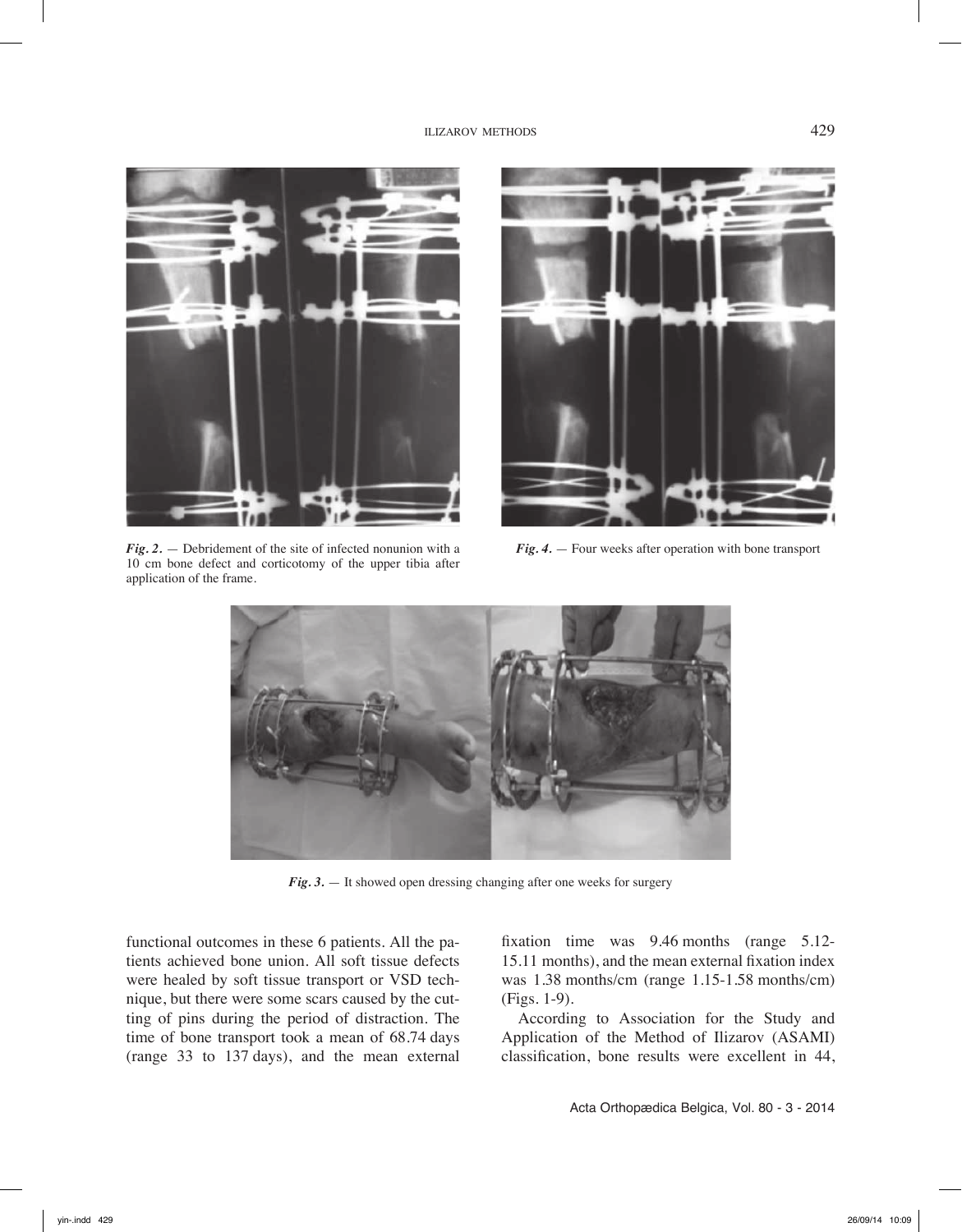

*Fig. 2.* — Debridement of the site of infected nonunion with a 10 cm bone defect and corticotomy of the upper tibia after application of the frame.



*Fig. 4.* — Four weeks after operation with bone transport



*Fig. 3.* — It showed open dressing changing after one weeks for surgery

functional outcomes in these 6 patients. All the patients achieved bone union. All soft tissue defects were healed by soft tissue transport or VSD technique, but there were some scars caused by the cutting of pins during the period of distraction. The time of bone transport took a mean of 68.74 days (range 33 to 137 days), and the mean external fixation time was 9.46 months (range 5.12- 15.11 months), and the mean external fixation index was 1.38 months/cm (range 1.15-1.58 months/cm) (Figs. 1-9).

According to Association for the Study and Application of the Method of Ilizarov (ASAMI) classification, bone results were excellent in 44,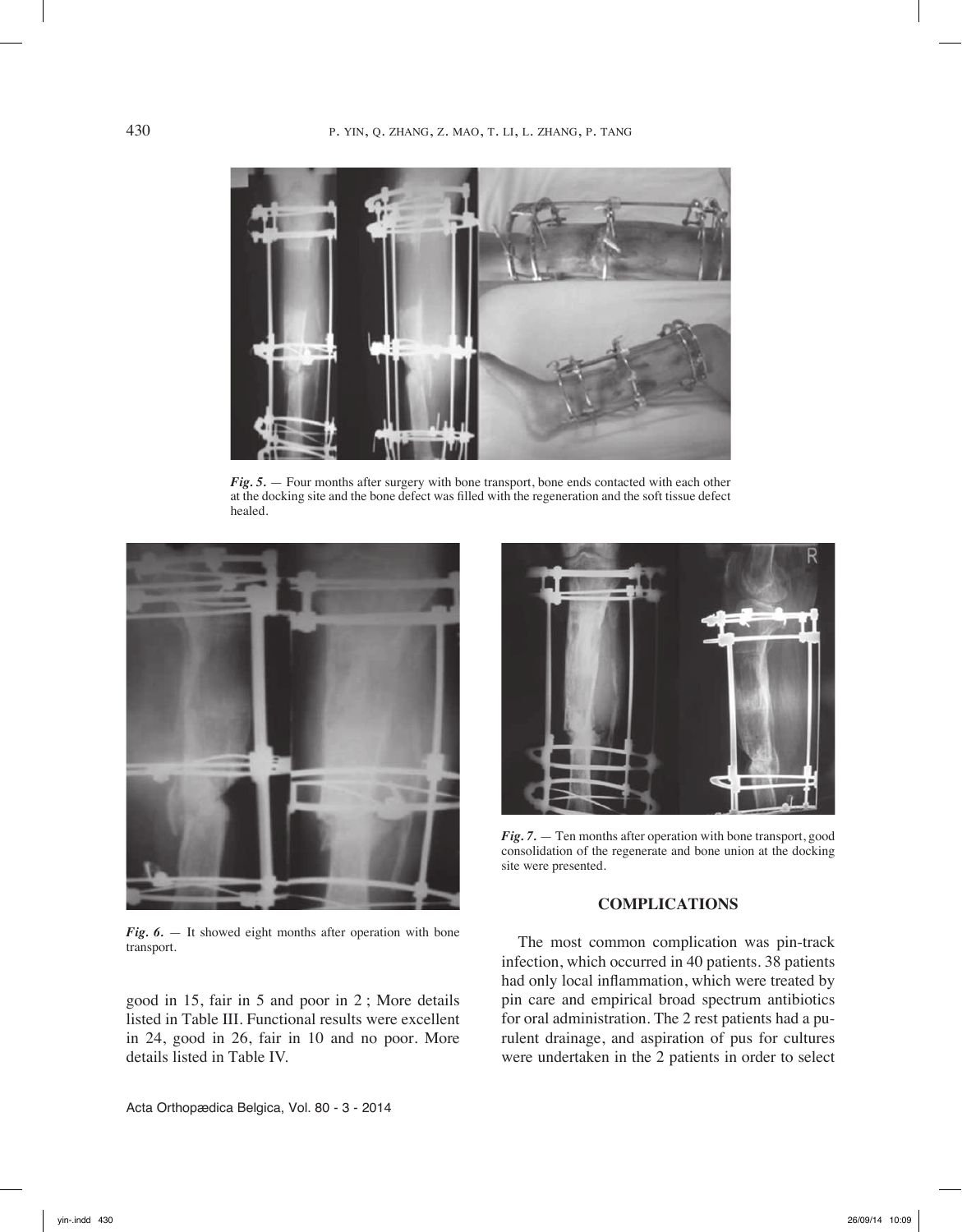

*Fig. 5.* — Four months after surgery with bone transport, bone ends contacted with each other at the docking site and the bone defect was filled with the regeneration and the soft tissue defect healed.



*Fig. 6.* — It showed eight months after operation with bone transport.

good in 15, fair in 5 and poor in 2 ; More details listed in Table III. Functional results were excellent in 24, good in 26, fair in 10 and no poor. More details listed in Table IV.



*Fig. 7.* — Ten months after operation with bone transport, good consolidation of the regenerate and bone union at the docking site were presented.

## **Complications**

The most common complication was pin-track infection, which occurred in 40 patients. 38 patients had only local inflammation, which were treated by pin care and empirical broad spectrum antibiotics for oral administration. The 2 rest patients had a purulent drainage, and aspiration of pus for cultures were undertaken in the 2 patients in order to select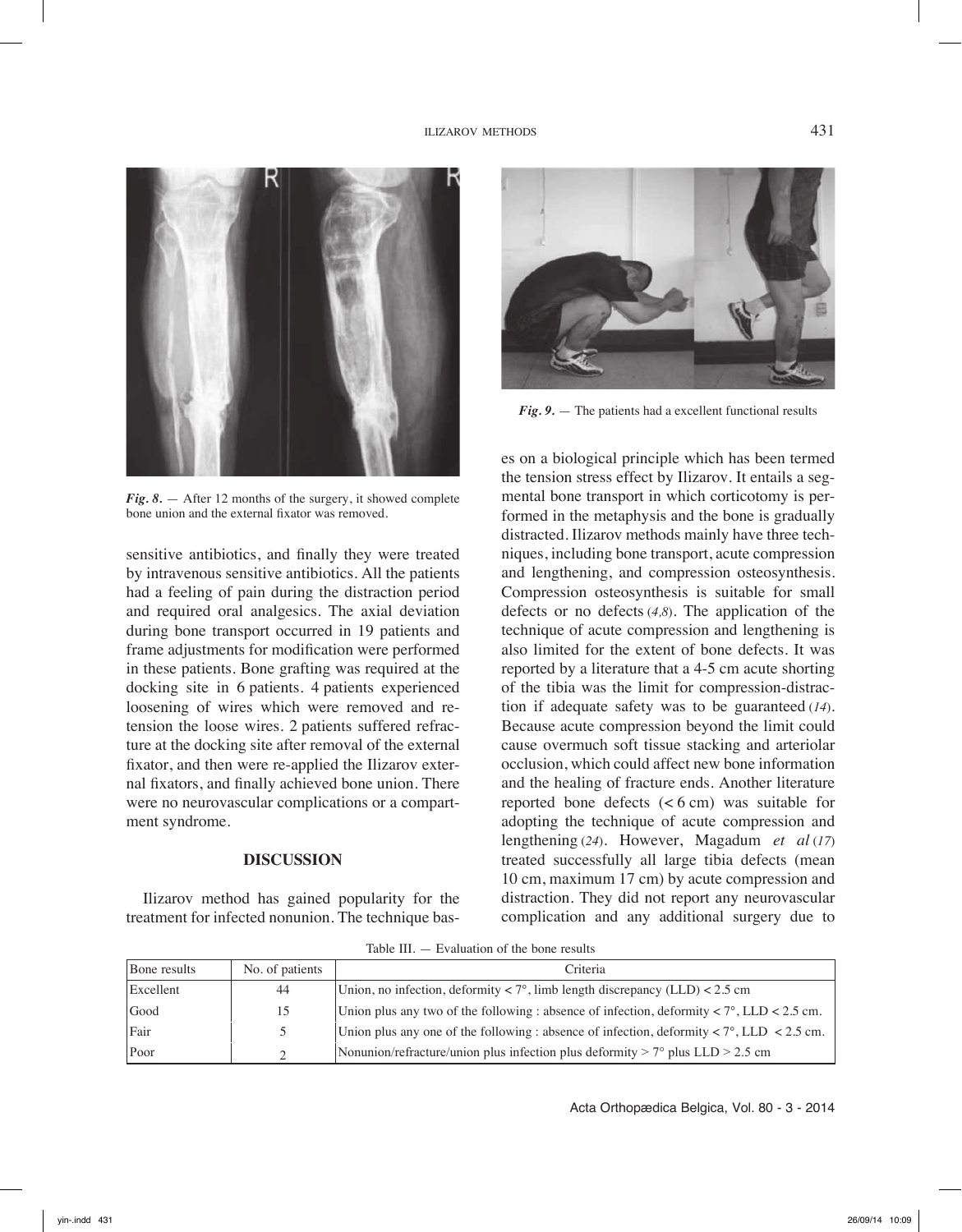

*Fig. 8.* — After 12 months of the surgery, it showed complete bone union and the external fixator was removed.

sensitive antibiotics, and finally they were treated by intravenous sensitive antibiotics. All the patients had a feeling of pain during the distraction period and required oral analgesics. The axial deviation during bone transport occurred in 19 patients and frame adjustments for modification were performed in these patients. Bone grafting was required at the docking site in 6 patients. 4 patients experienced loosening of wires which were removed and retension the loose wires. 2 patients suffered refracture at the docking site after removal of the external fixator, and then were re-applied the Ilizarov external fixators, and finally achieved bone union. There were no neurovascular complications or a compartment syndrome.

### **Discussion**

Ilizarov method has gained popularity for the treatment for infected nonunion. The technique bas-



*Fig. 9.* — The patients had a excellent functional results

es on a biological principle which has been termed the tension stress effect by Ilizarov. It entails a segmental bone transport in which corticotomy is performed in the metaphysis and the bone is gradually distracted. Ilizarov methods mainly have three techniques, including bone transport, acute compression and lengthening, and compression osteosynthesis. Compression osteosynthesis is suitable for small defects or no defects (*4,8*). The application of the technique of acute compression and lengthening is also limited for the extent of bone defects. It was reported by a literature that a 4-5 cm acute shorting of the tibia was the limit for compression-distraction if adequate safety was to be guaranteed (*14*). Because acute compression beyond the limit could cause overmuch soft tissue stacking and arteriolar occlusion, which could affect new bone information and the healing of fracture ends. Another literature reported bone defects  $(< 6 \text{ cm})$  was suitable for adopting the technique of acute compression and lengthening (*24*). However, Magadum *et al* (*17*) treated successfully all large tibia defects (mean 10 cm, maximum 17 cm) by acute compression and distraction. They did not report any neurovascular complication and any additional surgery due to

Table III. — Evaluation of the bone results

| Bone results | No. of patients | Criteria                                                                                                              |
|--------------|-----------------|-----------------------------------------------------------------------------------------------------------------------|
| Excellent    | 44              | Union, no infection, deformity $\langle 7^\circ, 1 \rangle$ limb length discrepancy (LLD) $\langle 2.5 \rangle$ cm    |
| Good         | 15              | Union plus any two of the following : absence of infection, deformity $\langle 7^\circ, \text{LLD} \rangle < 2.5$ cm. |
| Fair         | $\mathcal{L}$   | Union plus any one of the following : absence of infection, deformity $\langle 7^\circ, \text{LLD} \rangle$ = 2.5 cm. |
| Poor         | C.              | Nonunion/refracture/union plus infection plus deformity $> 7^{\circ}$ plus LLD $> 2.5$ cm                             |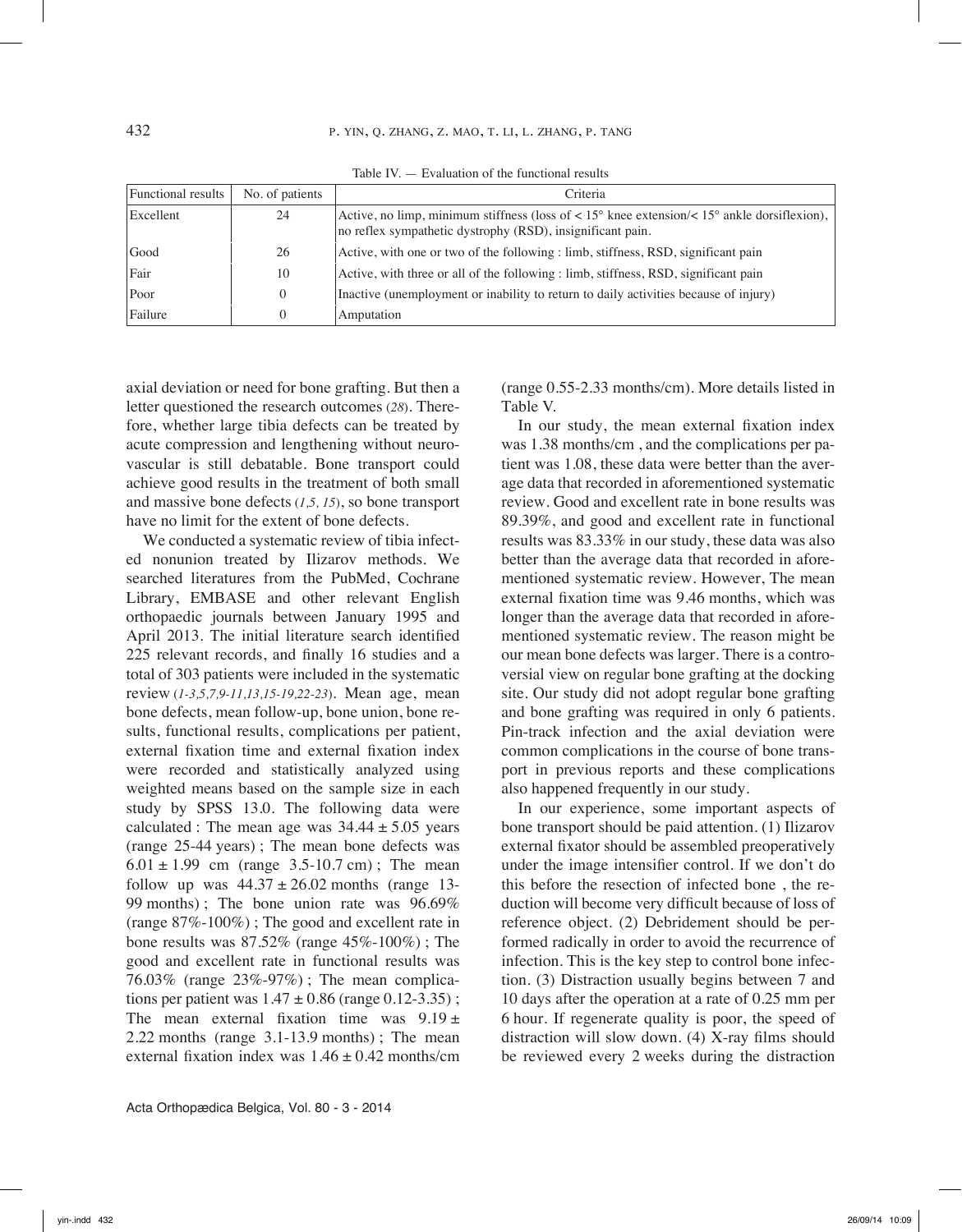Table IV. — Evaluation of the functional results

| Functional results | No. of patients | Criteria                                                                                                                                                                         |
|--------------------|-----------------|----------------------------------------------------------------------------------------------------------------------------------------------------------------------------------|
| Excellent          | 24              | Active, no limp, minimum stiffness (loss of $\lt 15^{\circ}$ knee extension/ $\lt 15^{\circ}$ ankle dorsiflexion),<br>no reflex sympathetic dystrophy (RSD), insignificant pain. |
| Good               | 26              | Active, with one or two of the following : limb, stiffness, RSD, significant pain                                                                                                |
| Fair               | 10              | Active, with three or all of the following : limb, stiffness, RSD, significant pain                                                                                              |
| Poor               | $\Omega$        | Inactive (unemployment or inability to return to daily activities because of injury)                                                                                             |
| Failure            | 0               | Amputation                                                                                                                                                                       |

axial deviation or need for bone grafting. But then a letter questioned the research outcomes (*28*). Therefore, whether large tibia defects can be treated by acute compression and lengthening without neurovascular is still debatable. Bone transport could achieve good results in the treatment of both small and massive bone defects (*1,5, 15*), so bone transport have no limit for the extent of bone defects.

We conducted a systematic review of tibia infected nonunion treated by Ilizarov methods. We searched literatures from the PubMed, Cochrane Library, EMBASE and other relevant English orthopaedic journals between January 1995 and April 2013. The initial literature search identified 225 relevant records, and finally 16 studies and a total of 303 patients were included in the systematic review (*1-3,5,7,9-11,13,15-19,22-23*). Mean age, mean bone defects, mean follow-up, bone union, bone results, functional results, complications per patient, external fixation time and external fixation index were recorded and statistically analyzed using weighted means based on the sample size in each study by SPSS 13.0. The following data were calculated : The mean age was  $34.44 \pm 5.05$  years (range 25-44 years) ; The mean bone defects was  $6.01 \pm 1.99$  cm (range 3.5-10.7 cm); The mean follow up was  $44.37 \pm 26.02$  months (range 13-99 months) ; The bone union rate was 96.69% (range 87%-100%) ; The good and excellent rate in bone results was 87.52% (range 45%-100%) ; The good and excellent rate in functional results was 76.03% (range 23%-97%) ; The mean complications per patient was  $1.47 \pm 0.86$  (range 0.12-3.35); The mean external fixation time was  $9.19 \pm$ 2.22 months (range 3.1-13.9 months) ; The mean external fixation index was  $1.46 \pm 0.42$  months/cm

(range 0.55-2.33 months/cm). More details listed in Table V.

In our study, the mean external fixation index was 1.38 months/cm , and the complications per patient was 1.08, these data were better than the average data that recorded in aforementioned systematic review. Good and excellent rate in bone results was 89.39%, and good and excellent rate in functional results was 83.33% in our study, these data was also better than the average data that recorded in aforementioned systematic review. However, The mean external fixation time was 9.46 months, which was longer than the average data that recorded in aforementioned systematic review. The reason might be our mean bone defects was larger. There is a controversial view on regular bone grafting at the docking site. Our study did not adopt regular bone grafting and bone grafting was required in only 6 patients. Pin-track infection and the axial deviation were common complications in the course of bone transport in previous reports and these complications also happened frequently in our study.

In our experience, some important aspects of bone transport should be paid attention. (1) Ilizarov external fixator should be assembled preoperatively under the image intensifier control. If we don't do this before the resection of infected bone , the reduction will become very difficult because of loss of reference object. (2) Debridement should be performed radically in order to avoid the recurrence of infection. This is the key step to control bone infection. (3) Distraction usually begins between 7 and 10 days after the operation at a rate of 0.25 mm per 6 hour. If regenerate quality is poor, the speed of distraction will slow down. (4) X-ray films should be reviewed every 2 weeks during the distraction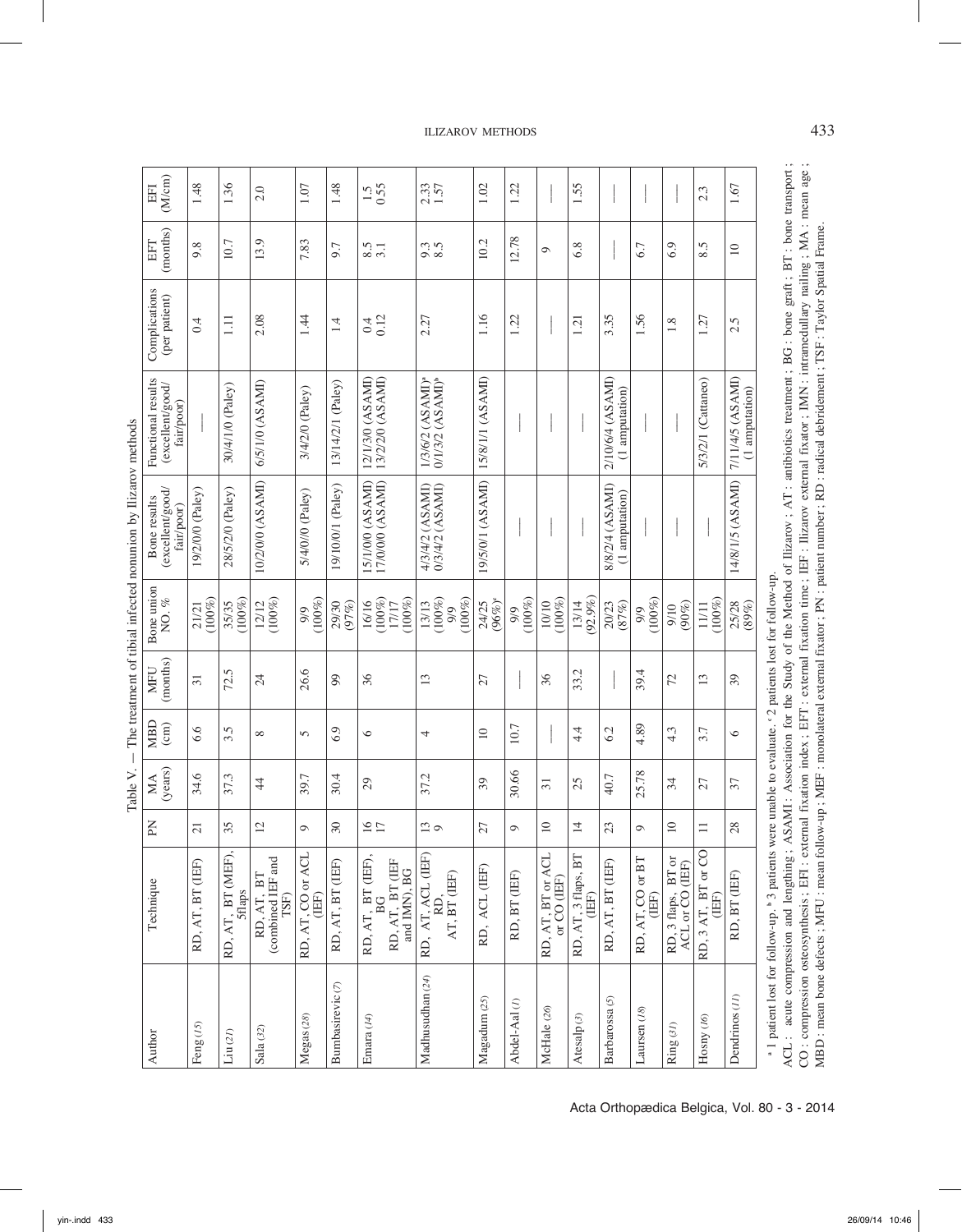| (M/cm)<br>EFI                                        | 1.48                   | 1.36                        | 2.0                                    | 1.07                       | 1.48                        | $1.5$<br>0.55                                             | 2.33                                                  | 1.02               | 1.22             |                               | 1.55                       |                                    |                           |                                       | 2.3                         | 1.67                               |
|------------------------------------------------------|------------------------|-----------------------------|----------------------------------------|----------------------------|-----------------------------|-----------------------------------------------------------|-------------------------------------------------------|--------------------|------------------|-------------------------------|----------------------------|------------------------------------|---------------------------|---------------------------------------|-----------------------------|------------------------------------|
| (months)<br>EFT                                      | 9.8                    | 10.7                        | 13.9                                   | 7.83                       | 9.7                         | $\frac{8.5}{3.1}$                                         | $\begin{array}{c} 2.3 \\ 8.5 \end{array}$             | 10.2               | 12.78            | $\circ$                       | 6.8                        |                                    | 6.7                       | 6.9                                   | 8.5                         | $\supseteq$                        |
| Complications<br>(per patient)                       | 0.4                    | $\Xi$                       | 2.08                                   | 1.44                       | 1.4                         | 0.12                                                      | 2.27                                                  | 1.16               | 1.22             |                               | 1.21                       | 3.35                               | 1.56                      | 1.8                                   | 1.27                        | 2.5                                |
| Functional results<br>(excellent/good/<br>fair/poor) |                        | 30/4/1/0 (Paley)            | 6/5/1/0 (ASAMI)                        | 3/4/2/0 (Paley)            | 13/14/2/1 (Paley)           | 13/2/2/0 (ASAMI)<br>12/1/3/0 (ASAMI)                      | 1/3/6/2 (ASAMI) <sup>®</sup><br>$0/1/3/2$ $(ASAMI)^b$ | 15/8/1/1 (ASAMI)   |                  |                               |                            | 2/10/6/4 (ASAMI)<br>(1 amputation) |                           |                                       | 5/3/2/1 (Cattaneo)          | 7/11/4/5 (ASAMI)<br>(1 amputation) |
| (excellent/good/<br>Bone results<br>fair/poor)       | 19/2/0/0 (Paley)       | 28/5/2/0 (Paley)            | 10/2/0/0 (ASAMI)                       | 5/4/0//0 (Paley)           | 19/10/0/1 (Paley)           | 17/0/0/0 (ASAMI)<br>15/1/0/0 (ASAMI)                      | 0/3/4/2 (ASAMI)<br>4/3/4/2 (ASAMI)                    | 19/5/0/1 (ASAMI)   |                  |                               |                            | 8/8/2/4 (ASAMI)<br>(1 amputation)  |                           |                                       |                             | 14/8/1/5 (ASAMI)                   |
| Bone union<br>NO.%                                   | $(100\%)$<br>21/21     | $(100\%)$<br>35/35          | $(100\%)$<br>12/12                     | $(100\%)$<br>9/9           | (97%)<br>29/30              | $(100\%)$<br>$(100\%)$<br>16/16<br>17/17                  | $(100\%)$<br>$(100\%)$<br>13/13<br>9/9                | $(96%)^c$<br>24/25 | $(100\%)$<br>9/9 | $(100\%)$<br>10/10            | 13/14<br>(92.9%)           | (87%)<br>20/23                     | $(100\%)$<br>9/9          | $(90\%)$<br>9/10                      | $(100\%)$<br>11/11          | 25/28<br>(89%)                     |
| (months)<br><b>MFU</b>                               | $\overline{31}$        | 72.5                        | $\overline{24}$                        | 26.6                       | 99                          | 36                                                        | 13                                                    | 27                 |                  | 36                            | 33.2                       |                                    | 39.4                      | 72                                    | 13                          | 39                                 |
| <b>MBD</b><br>$\text{(cm)}$                          | 6.6                    | $3.\overline{5}$            | $\infty$                               | 5                          | 6.9                         | $\circ$                                                   | 4                                                     | $\equiv$           | 10.7             |                               | 4.4                        | 6.2                                | 4.89                      | 4.3                                   | 3.7                         | $\circ$                            |
| (years)<br>MA                                        | 34.6                   | 37.3                        | $\ddot{4}$                             | 39.7                       | 30.4                        | $\mathcal{L}^{\mathcal{O}}$                               | 37.2                                                  | 39                 | 30.66            | $\overline{31}$               | 25                         | 40.7                               | 25.78                     | 34                                    | 27                          | 37                                 |
| PN                                                   | 21                     | Ō                           | $\mathcal{L}$                          | $\circ$                    | 30                          | $\circ$ $\sim$                                            | S<br>$\circ$                                          | $\sqrt{27}$        | $\circ$          | $\circ$                       | 4                          | 23                                 | $\circ$                   | $\circ$                               | $\overline{\phantom{0}}$    | $\frac{8}{3}$                      |
| Technique                                            | RD, AT, BT (IEF)       | RD, AT, BT (MEF),<br>5flaps | combined IEF and<br>RD, AT, BT<br>TSF) | RD, AT, CO or ACL<br>(IEF) | RD, AT, BT (IEF)            | RD, AT, BT (EF),<br>RD, AT, BT (IEF<br>and IMN), BG<br>BG | RD, AT, ACL (IEF)<br>RD,<br>AT, BT (EF)               | RD, ACL (IEF)      | RD, BT (IEF)     | RD, AT, BT or ACL or CO (IEF) | RD, AT, 3 flaps, BT $(EF)$ | RD, AT, BT (IEF)                   | RD, AT, CO or BT<br>(IEF) | RD, 3 flaps, BT or<br>ACL or CO (IEF) | RD, 3 AT, BT or CO<br>(IEF) | RD, BT (IEF)                       |
| Author                                               | Feng $\left(15\right)$ | $\text{Liu}(2l)$            | Sala (32)                              | Megas (28)                 | Bumbasirevic <sub>(7)</sub> | Emara (14)                                                | Madhusudhan (24)                                      | Magadum (25)       | Abdel-Aal(1)     | McHale (26)                   | Atesalp(3)                 | Barbarossa <sub>(5)</sub>          | Laursen <sub>(18)</sub>   | Ring (31)                             | Hosny (16)                  | Dendrinos (11)                     |

Table V.  $-$  The treatment of tibial infected nonunion by Ilizarov methods Table V. — The treatment of tibial infected nonunion by Ilizarov methods

1 patient lost for follow-up.<sup>b</sup> 3 patients were unable to evaluate. <sup>e</sup> 2 patients lost for follow-up.

CO: compression osteosynthesis; EFI: external fixation index; EFT: external fixation time; IEF: Ilizarov external fixator; IMN: intramedullary nailing; MA: mean age;<br>MBD: mean bone defects; MFU: mean follow-up; MEF: monola ACL: acute compression and lengthing; ASAMI: Association for the Study of the Method of Ilizarov; AT: antibiotics treatment; BG: bone graft; BT: bone transport; ACL : acute compression and lengthing ; ASAMI : Association for the Study of the Method of Ilizarov ; AT : antibiotics treatment ; BG : bone graft ; BT : bone transport ; CO : compression osteosynthesis ; EFI : external fixation index ; EFT : external fixation time ; IEF : Ilizarov external fixator ; IMN : intramedullary nailing ; MA : mean age ; MBD : mean bone defects ; MFU : mean follow-up ; MEF : monolateral external fixator ; PN : patient number ; RD : radical debridement ; TSF : Taylor Spatial Frame.

## ilizarov methods 433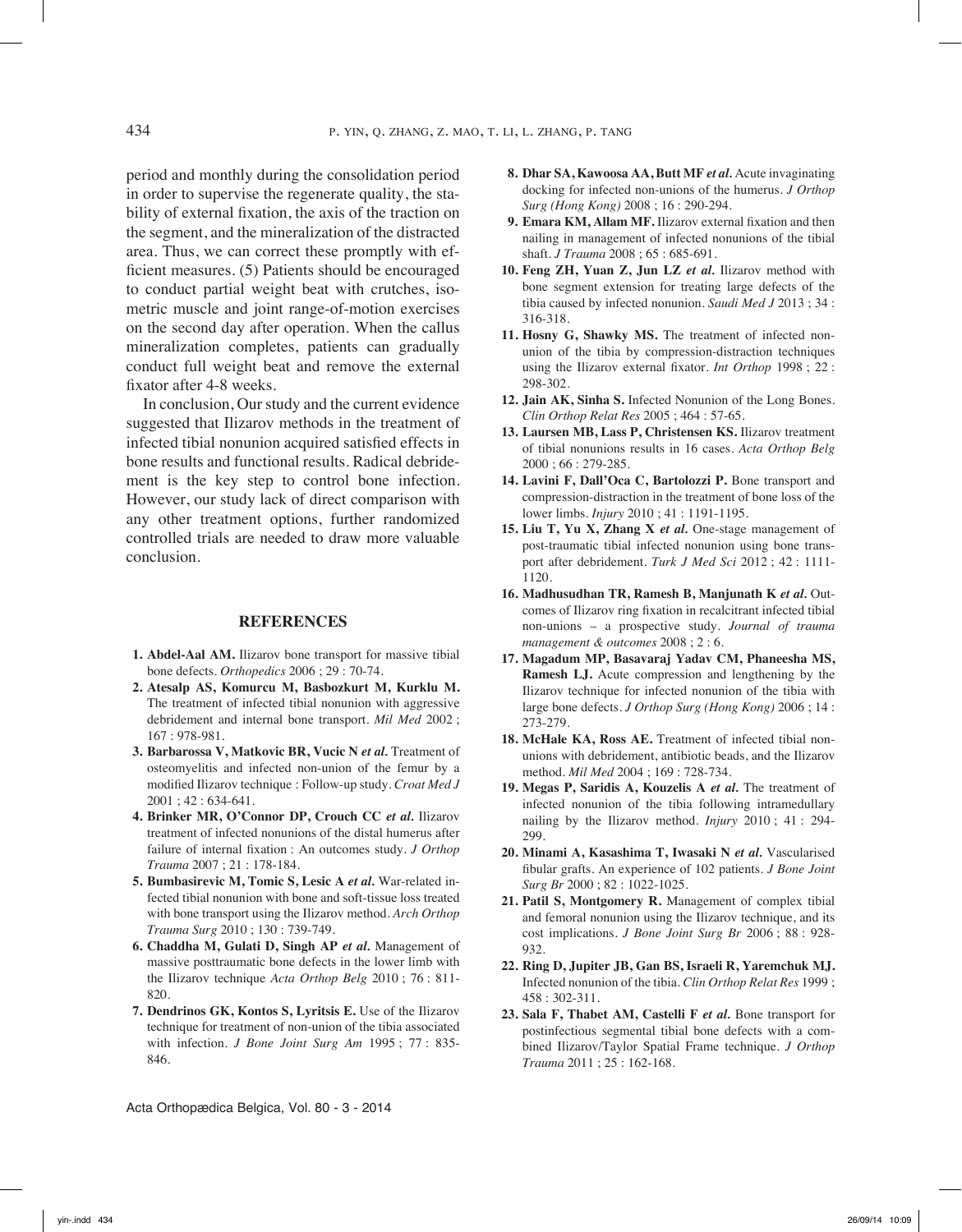period and monthly during the consolidation period in order to supervise the regenerate quality, the stability of external fixation, the axis of the traction on the segment, and the mineralization of the distracted area. Thus, we can correct these promptly with efficient measures. (5) Patients should be encouraged to conduct partial weight beat with crutches, isometric muscle and joint range-of-motion exercises on the second day after operation. When the callus mineralization completes, patients can gradually conduct full weight beat and remove the external fixator after 4-8 weeks.

In conclusion, Our study and the current evidence suggested that Ilizarov methods in the treatment of infected tibial nonunion acquired satisfied effects in bone results and functional results. Radical debridement is the key step to control bone infection. However, our study lack of direct comparison with any other treatment options, further randomized controlled trials are needed to draw more valuable conclusion.

#### **References**

- **1. Abdel-Aal AM.** Ilizarov bone transport for massive tibial bone defects. *Orthopedics* 2006 ; 29 : 70-74.
- **2. Atesalp AS, Komurcu M, Basbozkurt M, Kurklu M.** The treatment of infected tibial nonunion with aggressive debridement and internal bone transport. *Mil Med* 2002 ; 167 : 978-981.
- **3. Barbarossa V, Matkovic BR, Vucic N** *et al.* Treatment of osteomyelitis and infected non-union of the femur by a modified Ilizarov technique : Follow-up study. *Croat Med J* 2001 ; 42 : 634-641.
- **4. Brinker MR, O'Connor DP, Crouch CC** *et al.* Ilizarov treatment of infected nonunions of the distal humerus after failure of internal fixation : An outcomes study. *J Orthop Trauma* 2007 ; 21 : 178-184.
- **5. Bumbasirevic M, Tomic S, Lesic A** *et al.* War-related infected tibial nonunion with bone and soft-tissue loss treated with bone transport using the Ilizarov method. *Arch Orthop Trauma Surg* 2010 ; 130 : 739-749.
- **6. Chaddha M, Gulati D, Singh AP** *et al.* Management of massive posttraumatic bone defects in the lower limb with the Ilizarov technique *Acta Orthop Belg* 2010 ; 76 : 811- 820.
- **7. Dendrinos GK, Kontos S, Lyritsis E.** Use of the Ilizarov technique for treatment of non-union of the tibia associated with infection. *J Bone Joint Surg Am* 1995 ; 77 : 835- 846.
- **8. Dhar SA, Kawoosa AA, Butt MF** *et al.* Acute invaginating docking for infected non-unions of the humerus. *J Orthop Surg (Hong Kong)* 2008 ; 16 : 290-294.
- **9. Emara KM, Allam MF.** Ilizarov external fixation and then nailing in management of infected nonunions of the tibial shaft. *J Trauma* 2008 ; 65 : 685-691.
- **10. Feng ZH, Yuan Z, Jun LZ** *et al.* Ilizarov method with bone segment extension for treating large defects of the tibia caused by infected nonunion. *Saudi Med J* 2013 ; 34 : 316-318.
- **11. Hosny G, Shawky MS.** The treatment of infected nonunion of the tibia by compression-distraction techniques using the Ilizarov external fixator. *Int Orthop* 1998 ; 22 : 298-302.
- **12. Jain AK, Sinha S.** Infected Nonunion of the Long Bones. *Clin Orthop Relat Res* 2005 ; 464 : 57-65.
- **13. Laursen MB, Lass P, Christensen KS.** Ilizarov treatment of tibial nonunions results in 16 cases. *Acta Orthop Belg*  2000 ; 66 : 279-285.
- **14. Lavini F, Dall'Oca C, Bartolozzi P.** Bone transport and compression-distraction in the treatment of bone loss of the lower limbs. *Injury* 2010 ; 41 : 1191-1195.
- **15. Liu T, Yu X, Zhang X** *et al.* One-stage management of post-traumatic tibial infected nonunion using bone transport after debridement. *Turk J Med Sci* 2012 ; 42 : 1111- 1120.
- **16. Madhusudhan TR, Ramesh B, Manjunath K** *et al.* Outcomes of Ilizarov ring fixation in recalcitrant infected tibial non-unions – a prospective study. *Journal of trauma management & outcomes* 2008 ; 2 : 6.
- **17. Magadum MP, Basavaraj Yadav CM, Phaneesha MS, Ramesh LJ.** Acute compression and lengthening by the Ilizarov technique for infected nonunion of the tibia with large bone defects. *J Orthop Surg (Hong Kong)* 2006 ; 14 : 273-279.
- **18. McHale KA, Ross AE.** Treatment of infected tibial nonunions with debridement, antibiotic beads, and the Ilizarov method. *Mil Med* 2004 ; 169 : 728-734.
- **19. Megas P, Saridis A, Kouzelis A** *et al.* The treatment of infected nonunion of the tibia following intramedullary nailing by the Ilizarov method. *Injury* 2010 ; 41 : 294- 299.
- **20. Minami A, Kasashima T, Iwasaki N** *et al.* Vascularised fibular grafts. An experience of 102 patients. *J Bone Joint Surg Br* 2000 ; 82 : 1022-1025.
- **21. Patil S, Montgomery R.** Management of complex tibial and femoral nonunion using the Ilizarov technique, and its cost implications. *J Bone Joint Surg Br* 2006 ; 88 : 928- 932.
- **22. Ring D, Jupiter JB, Gan BS, Israeli R, Yaremchuk MJ.** Infected nonunion of the tibia. *Clin Orthop Relat Res* 1999 ; 458 : 302-311.
- **23. Sala F, Thabet AM, Castelli F** *et al.* Bone transport for postinfectious segmental tibial bone defects with a combined Ilizarov/Taylor Spatial Frame technique. *J Orthop Trauma* 2011 ; 25 : 162-168.